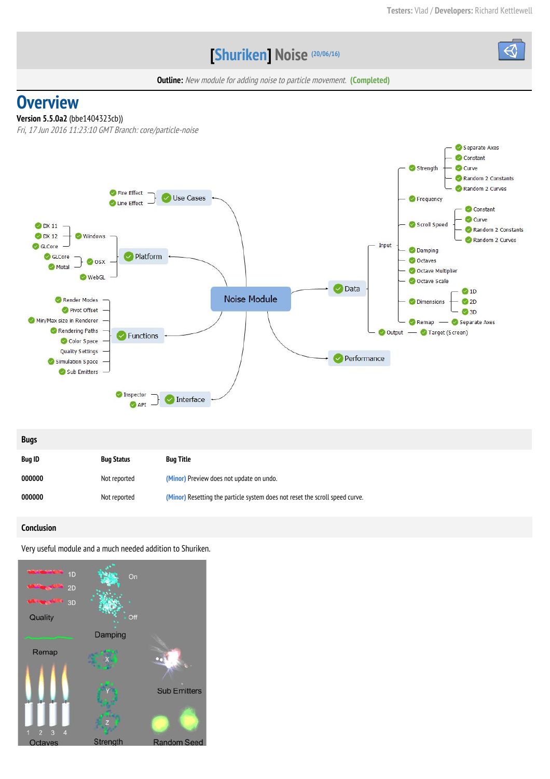# **[Shuriken] Noise (20/06/16)**



**Outline:** New module for adding noise to particle movement. **(Completed)** 

# **Overview**

## **Version 5.5.0a2**(bbe1404323cb))

Fri, 17 Jun 2016 11:23:10 GMT Branch: core/particle-noise



| <b>Bugs</b>   |                   |                                                                              |
|---------------|-------------------|------------------------------------------------------------------------------|
| <b>Bug ID</b> | <b>Bug Status</b> | <b>Bug Title</b>                                                             |
| 000000        | Not reported      | (Minor) Preview does not update on undo.                                     |
| 000000        | Not reported      | (Minor) Resetting the particle system does not reset the scroll speed curve. |

## **Conclusion**

Very useful module and a much needed addition to Shuriken.

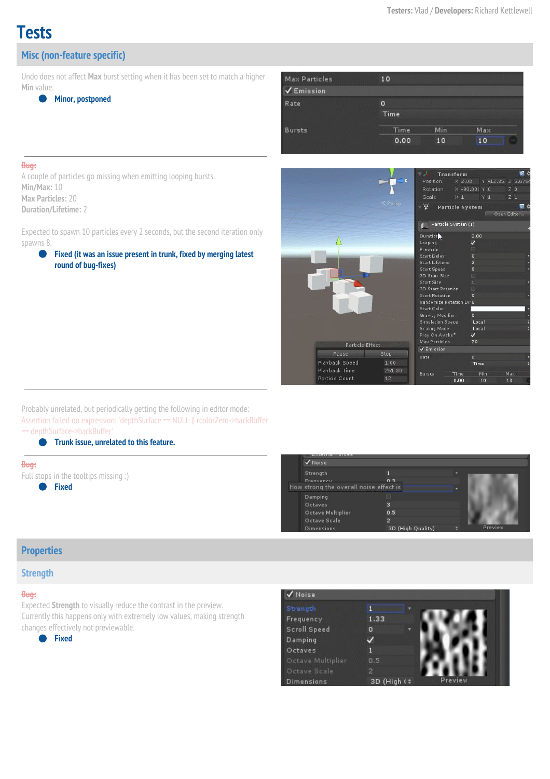# **Tests**

# **Misc (non-feature specific)**

Undo does not affect **Max** burst setting when it has been set to match a higher **Min** value.



| Max Particles | 10          |     |     |  |
|---------------|-------------|-----|-----|--|
| Emission      |             |     |     |  |
| Rate          | ٥<br>Time   |     |     |  |
| <b>Bursts</b> | <b>Time</b> | Min | Max |  |
|               | 0.00        | 10  | 10  |  |

#### **Bug:**

A couple of particles go missing when emitting looping bursts. **Min/Max:** 10 **Max Particles:** 20 **Duration/Lifetime:**2

Expected to spawn 10 particles every 2 seconds, but the second iteration only spawns 8.

● **Fixed (it was an issue present in trunk, fixed by merging latest round of bug-fixes)**

|                                       |                |                          | - 11<br>Transform                           |                        |                           |  |                | 剛く |  |  |
|---------------------------------------|----------------|--------------------------|---------------------------------------------|------------------------|---------------------------|--|----------------|----|--|--|
|                                       |                | $\overline{\phantom{a}}$ | Position                                    |                        | X 2.08 Y -12.85: Z 5.6784 |  |                |    |  |  |
|                                       |                |                          | Rotation X -90,000 Y 0                      |                        |                           |  | Z <sub>0</sub> |    |  |  |
|                                       |                |                          | Scale                                       |                        | $X1$ $Y1$                 |  | $Z_1$          |    |  |  |
|                                       |                | $\leq$ Persp             | - V                                         | <b>Particle System</b> |                           |  |                | 图长 |  |  |
|                                       |                |                          |                                             |                        |                           |  | Open Editor    |    |  |  |
|                                       |                |                          |                                             | Particle System (1)    |                           |  |                |    |  |  |
|                                       |                |                          |                                             |                        |                           |  |                |    |  |  |
|                                       |                |                          | Duration                                    |                        | 2.00                      |  |                |    |  |  |
|                                       |                |                          | Looping                                     |                        | $\checkmark$              |  |                |    |  |  |
|                                       |                |                          | Prewarm                                     |                        |                           |  |                |    |  |  |
|                                       |                |                          | <b>Start Delay</b><br><b>Start Lifetime</b> |                        | $\circ$<br>$\overline{2}$ |  |                |    |  |  |
|                                       |                |                          | <b>Start Speed</b>                          |                        | $\circ$                   |  |                |    |  |  |
|                                       |                |                          | <b>3D Start Size</b>                        |                        | 圓                         |  |                |    |  |  |
|                                       |                |                          | Start Size                                  |                        | п                         |  |                |    |  |  |
|                                       |                |                          | <b>3D Start Rotation</b>                    |                        | □                         |  |                |    |  |  |
|                                       |                |                          | <b>Start Rotation</b>                       |                        | $\circ$                   |  |                |    |  |  |
|                                       |                |                          | <b>Randomize Rotation DirO</b>              |                        |                           |  |                |    |  |  |
|                                       |                |                          | <b>Start Color</b>                          |                        |                           |  |                |    |  |  |
|                                       |                |                          | <b>Gravity Modifier</b>                     |                        | $\circ$                   |  |                |    |  |  |
|                                       |                |                          | <b>Simulation Space</b>                     |                        | Local                     |  |                |    |  |  |
| <b>Scaling Mode</b><br>Play On Awake* |                |                          |                                             | Local<br>$\checkmark$  |                           |  |                |    |  |  |
|                                       |                |                          | Max Particles                               |                        | 20                        |  |                |    |  |  |
|                                       |                | Particle Effect          |                                             | ✔ Emission             |                           |  |                |    |  |  |
|                                       | Pause          | Stop                     | Rate                                        |                        | $\circ$                   |  |                |    |  |  |
|                                       | Playback Speed | 1.00                     |                                             |                        | Time                      |  |                |    |  |  |
|                                       | Playback Time  | 251.30                   |                                             |                        |                           |  |                |    |  |  |
|                                       | Particle Count | 12                       | Bursts                                      | Time                   | Min                       |  | Max            |    |  |  |
|                                       |                |                          |                                             | 0.00                   | 10                        |  | 10             |    |  |  |

Probably unrelated, but periodically getting the following in editor mode: Assertion failed on expression: 'depthSurface == NULL || rcolorZero->backBuffer == depthSurface->backBuffer'

● **Trunk issue, unrelated to this feature.**

#### **Bug:**

Full stops in the tooltips missing :) ● **Fixed**



## **Properties**

### **Strength**

#### **Bug:**

Expected **Strength**to visually reduce the contrast in the preview. Currently this happens only with extremely low values, making strength changes effectively not previewable.

● **Fixed**

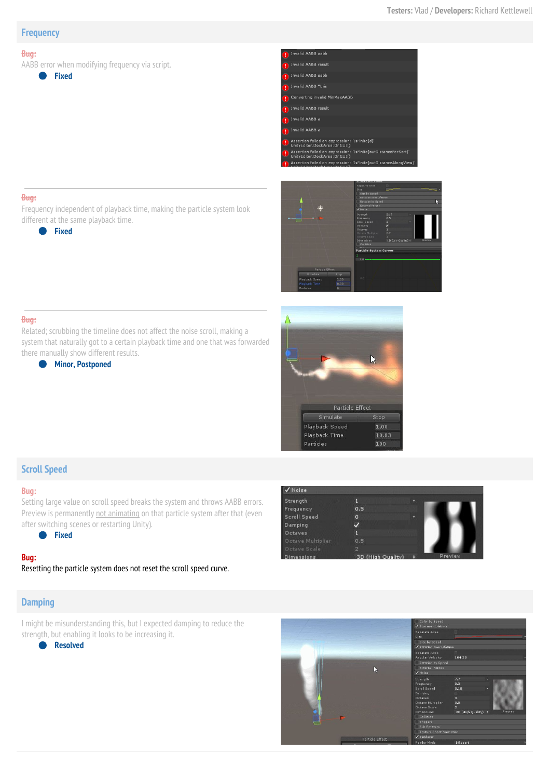### **Frequency**

#### **Bug:**

AABB error when modifying frequency via script.

● **Fixed**

 $d$  AABB aab **Invalid AABB result** -<br>Invalid AABB aabb .<br>Converting invalid MinMaxAABB -<br>Invalid AABB result Invalid AABB a -<br>Invalid AABB a Assertion failed on expression: 'IsFinite(d)'<br>UnityEditor.DockArea:OnGUI() Assertion failed on expression: 'IsFinite(outDistanceForSort)'<br>UnityEditor.DockArea:OnGUI() 'IsFinite(outDistanceAld



#### **Bug:**

**Bug:**

Frequency independent of playback time, making the particle system look different at the same playback time.





Playback Time

#### there manually show different results. ● **Minor, Postponed**

# **Scroll Speed**

## **Bug:**

Setting large value on scroll speed breaks the system and throws AABB errors. Preview is permanently not animating on that particle system after that (even after switching scenes or restarting Unity).

● **Fixed**

#### **Bug:**

Resetting the particle system does not reset the scroll speed curve.

## **Damping**

I might be misunderstanding this, but I expected damping to reduce the strength, but enabling it looks to be increasing it.

● **Resolved**



Stop

 $1.00$ 

10.83 100

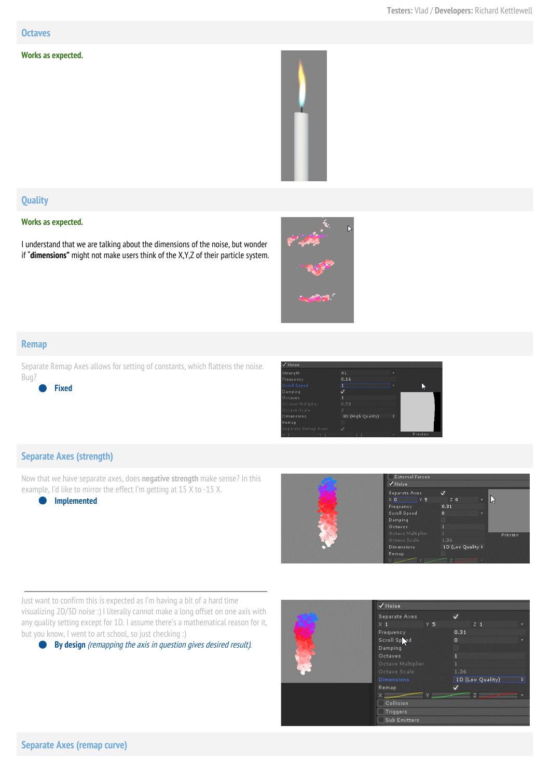#### **Octaves**

#### **Works as expected.**



## **Quality**

#### **Works as expected.**

I understand that we are talking about the dimensions of the noise, but wonder if "**dimensions"**might not make users think of the X,Y,Z of their particle system.



### **Remap**

Separate Remap Axes allows for setting of constants, which flattens the noise. Bug?

● **Fixed**



## **Separate Axes (strength)**

Now that we have separate axes, does **negative strength**make sense? In this example, I'd like to mirror the effect I'm getting at 15 X to -15 X.

#### ● **Implemented**



Just want to confirm this is expected as I'm having a bit of a hard time visualizing 2D/3D noise :) I literally cannot make a long offset on one axis with any quality setting except for 1D. I assume there's a mathematical reason for it, but you know, I went to art school, so just checking :)

● **By design** (remapping the axis in question gives desired result).

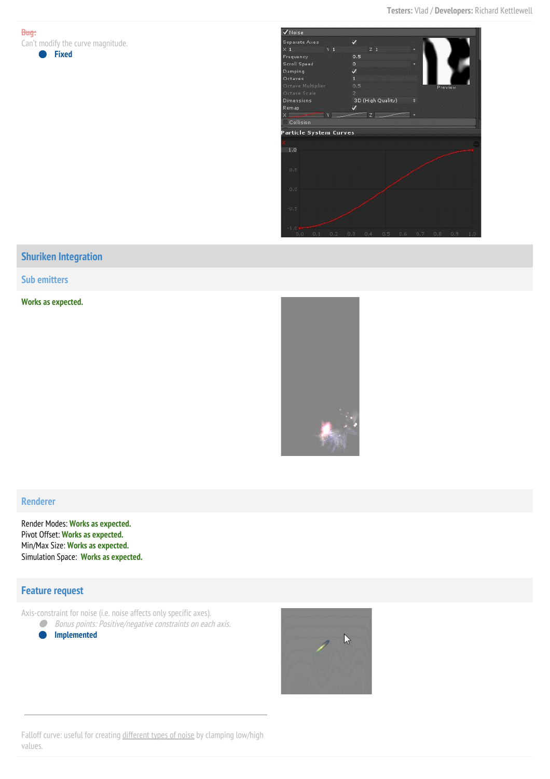**Bug:** Can't modify the curve magnitude.

#### ● **Fixed**



# **Shuriken Integration**

**Sub emitters**

**Works as expected.**



#### **Renderer**

Render Modes: **Works as expected.** Pivot Offset: **Works as expected.** Min/Max Size: **Works as expected.** Simulation Space: **Works as expected.**

## **Feature request**

Axis-constraint for noise (i.e. noise affects only specific axes).

● Bonus points: Positive/negative constraints on each axis.

● **Implemented**



Falloff curve: useful for creating [different](http://www.neilblevins.com/cg_education/procedural_noise/procedural_noise.html) types of noise by clamping low/high values.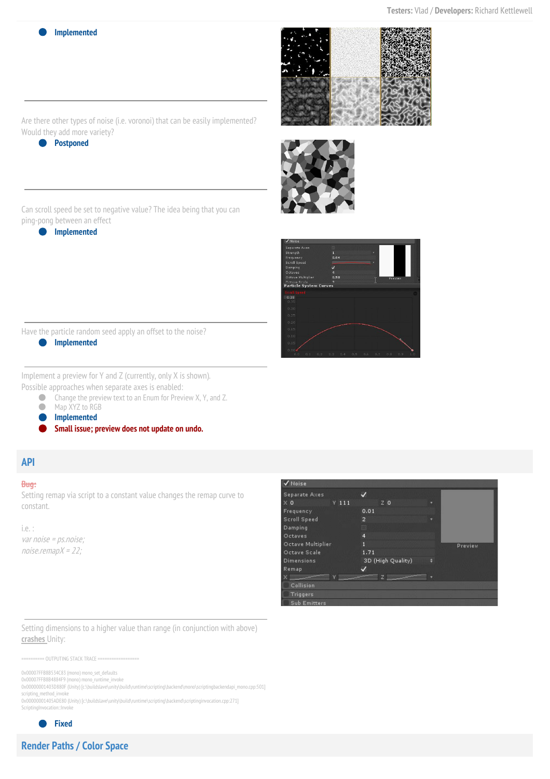**Implemented** 







Are there other types of noise (i.e. voronoi) that can be easily implemented? Would they add more variety?

● **Postponed**

Can scroll speed be set to negative value? The idea being that you can ping-pong between an effect

● **Implemented**

Have the particle random seed apply an offset to the noise?

● **Implemented**

Implement a preview for Y and Z (currently, only X is shown). Possible approaches when separate axes is enabled:

● Change the preview text to an Enum for Preview X, Y, and Z.

● Map XYZ to RGB

● **Implemented**

● **Small issue; preview does not update on undo.**

## **API**

### **Bug:**

Setting remap via script to a constant value changes the remap curve to constant.

i.e. : var noise <sup>=</sup> ps.noise;  $noise$ .remap $X = 22$ ;



Setting dimensions to a higher value than range (in conjunction with above) **crashes** Unity:

========== OUTPUTING STACK TRACE ==================

0x00007FFB8B534C83 (mono) mono\_set\_defaults

0x00007FFB8B4884F9 (mono) mono\_runtime\_invoke 0x00000001403D880F (Unity) [c:\buildslave\unity\build\runtime\scripting\backend\mono\scriptingbackendapi\_mono.cpp:501] scripting\_method\_invoke 0x00000001405ADE80 (Unity) [c:\buildslave\unity\build\runtime\scripting\backend\scriptinginvocation.cpp:271]

ScriptingInvocation::Invoke

● **Fixed**